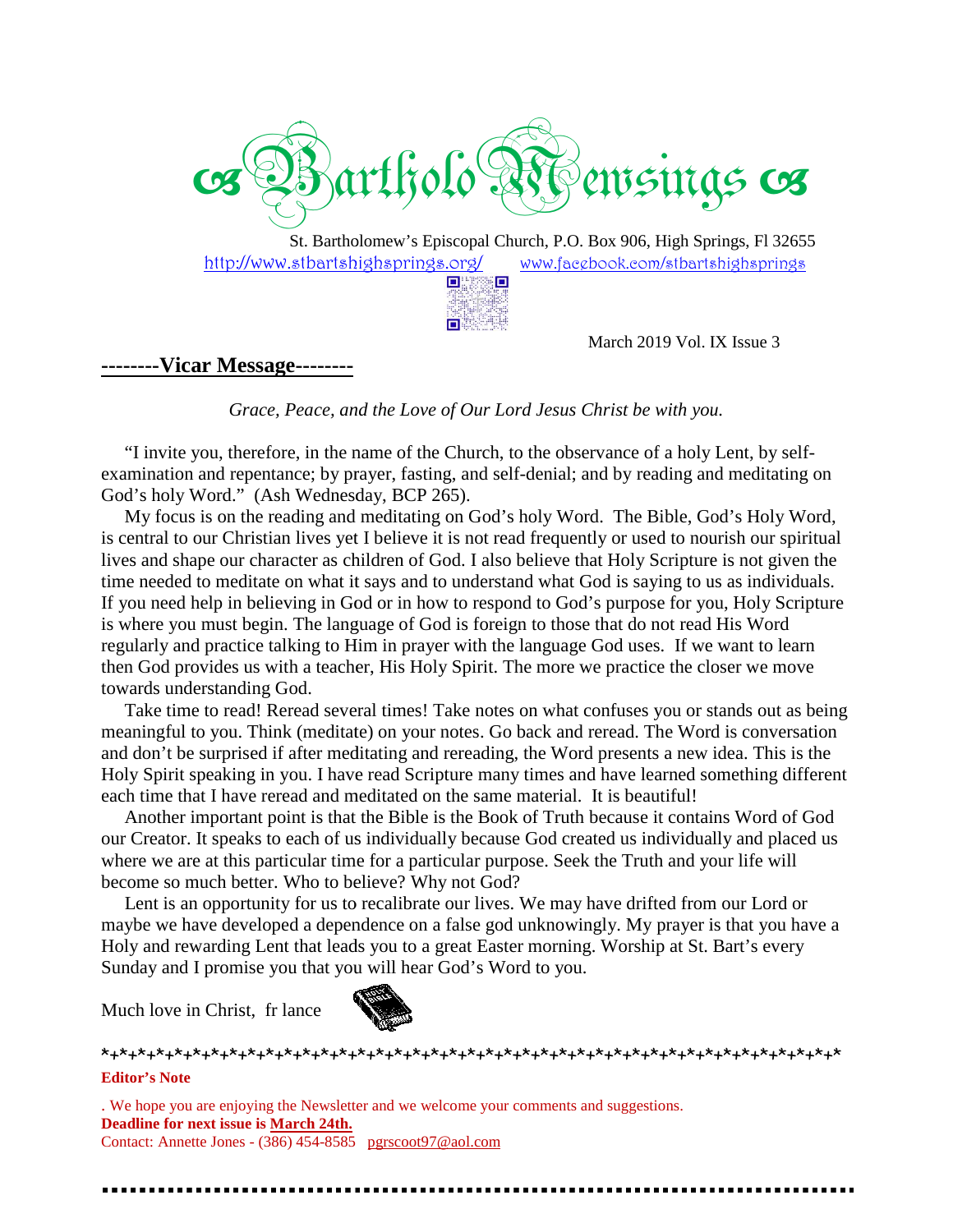

St. Bartholomew's Episcopal Church, P.O. Box 906, High Springs, Fl 32655 http://www.stbartshighsprings.org/ www.facebook.com/stbartshighsprings **OHER** O

**DW** 

#### **--------Vicar Message--------**

March 2019 Vol. IX Issue 3

*Grace, Peace, and the Love of Our Lord Jesus Christ be with you. Lord Jesus* 

 "I invite you, therefore, in the name of the Church, to the observance of a holy Lent, by self self-"I invite you, therefore, in the name of the Church, to the observance of a holy Lent, by self-examination and repentance; by prayer, fasting, and self-denial; and by reading and meditating on God's holy Word." (Ash Wednesday, BCP 265).

 My focus is on the reading and meditating on God's holy Word. The Bible, God's Holy Word, is central to our Christian lives yet I believe it is not read frequently or used to nourish our spiritual lives and shape our character as children of God. I also believe that Holy Scripture is not given the time needed to meditate on what it says and to understand what God is saying to us as individuals. time needed to meditate on what it says and to understand what God is saying to us as individuals.<br>If you need help in believing in God or in how to respond to God's purpose for you, Holy Scripture is where you must begin. The language of God is foreign to those that do not read His Word regularly and practice talking to Him in prayer with the language God uses. If we want to learn then God provides us with a teacher, His Holy Spirit. The more we practice the closer we move towards understanding God. s is on the reading and meditating on God's holy Word. The Bible, God's Holy Word, our Christian lives yet I believe it is not read frequently or used to nourish our spiritual ape our character as children of God. I also b The language of God is foreign to those that do not read His Word<br>king to Him in prayer with the language God uses. If we want to learn<br>h a teacher, His Holy Spirit. The more we practice the closer we move<br>od.<br>cread severa

 Take time to read! Reread several times! Take notes on what confuses you or stands out a meaningful to you. Think (meditate) on your notes. Go back and reread. The Word is conversation and don't be surprised if after meditating and rereading, the Word presents a new idea. This is the Holy Spirit speaking in you. I have read Scripture many times and have learned something different each time that I have reread and meditated on the same material. It is beautiful! as being

 Another important point is that the Bible is the Book of Truth because it contains Word of God our Creator. It speaks to each of us individually because God created us individually and placed us where we are at this particular time for a particular purpose. Seek the Truth and your life will become so much better. Who to believe? Why not God? Book of Truth because it contains Word of<br>cause God created us individually and place<br>purpose. Seek the Truth and your life will

become so much better. Who to believe? Why not God?<br>Lent is an opportunity for us to recalibrate our lives. We may have drifted from our Lord or where we are at this particular time for a particular purpose. Seek the Truth and your life will<br>become so much better. Who to believe? Why not God?<br>Lent is an opportunity for us to recalibrate our lives. We may have drift Holy and rewarding Lent that leads you to a great Easter morning. Worship at St. Bart's every Holy and rewarding Lent that leads you to a great Easter morning<br>Sunday and I promise you that you will hear God's Word to you.

Much love in Christ, fr lance



\*+\*+\*+\*+\*+\*+\*+\*+\*+\*+\*+\*+\*+\*+\*+\*+\*+\*+\*+\*+\*+\*+\*+\*+\*+\*+\*+\*+\*+\*+\*+\*+\*+\*+\*+\*+\*+\*+\*+\*+\* **Editor's Note**

. We hope you are enjoying the Newsletter and we welcome your comments and suggestions. **Deadline for next issue is March 24th.** Contact: Annette Jones - (386) 454-8585 pgrscoot97@aol.com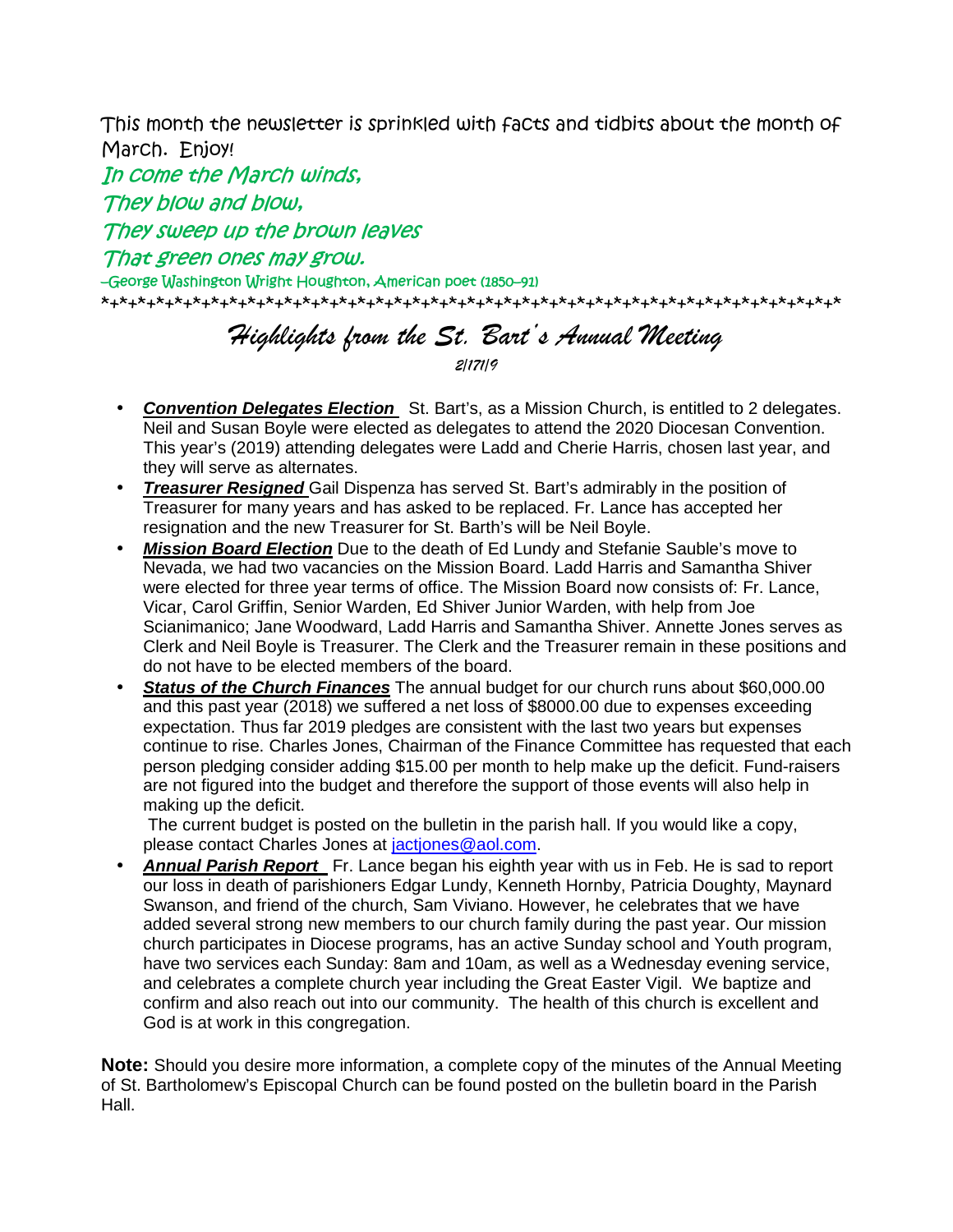This month the newsletter is sprinkled with facts and tidbits about the month of March. Enjoy!

In come the March winds, They blow and blow, They sweep up the brown leaves That green ones may grow. –George Washington Wright Houghton, American poet (1850–91) \*+\*+\*+\*+\*+\*+\*+\*+\*+\*+\*+\*+\*+\*+\*+\*+\*+\*+\*+\*+\*+\*+\*+\*+\*+\*+\*+\*+\*+\*+\*+\*+\*+\*+\*+\*+\*+\*+\*+\*+\*

## Highlights from the St. Bart's Annual Meeting 2/171/9

- **Convention Delegates Election** St. Bart's, as a Mission Church, is entitled to 2 delegates. Neil and Susan Boyle were elected as delegates to attend the 2020 Diocesan Convention. This year's (2019) attending delegates were Ladd and Cherie Harris, chosen last year, and they will serve as alternates.
- **Treasurer Resigned** Gail Dispenza has served St. Bart's admirably in the position of Treasurer for many years and has asked to be replaced. Fr. Lance has accepted her resignation and the new Treasurer for St. Barth's will be Neil Boyle.
- **Mission Board Election** Due to the death of Ed Lundy and Stefanie Sauble's move to Nevada, we had two vacancies on the Mission Board. Ladd Harris and Samantha Shiver were elected for three year terms of office. The Mission Board now consists of: Fr. Lance, Vicar, Carol Griffin, Senior Warden, Ed Shiver Junior Warden, with help from Joe Scianimanico; Jane Woodward, Ladd Harris and Samantha Shiver. Annette Jones serves as Clerk and Neil Boyle is Treasurer. The Clerk and the Treasurer remain in these positions and do not have to be elected members of the board.
- **Status of the Church Finances** The annual budget for our church runs about \$60,000.00 and this past year (2018) we suffered a net loss of \$8000.00 due to expenses exceeding expectation. Thus far 2019 pledges are consistent with the last two years but expenses continue to rise. Charles Jones, Chairman of the Finance Committee has requested that each person pledging consider adding \$15.00 per month to help make up the deficit. Fund-raisers are not figured into the budget and therefore the support of those events will also help in making up the deficit.

 The current budget is posted on the bulletin in the parish hall. If you would like a copy, please contact Charles Jones at jactjones@aol.com.

• **Annual Parish Report** Fr. Lance began his eighth year with us in Feb. He is sad to report our loss in death of parishioners Edgar Lundy, Kenneth Hornby, Patricia Doughty, Maynard Swanson, and friend of the church, Sam Viviano. However, he celebrates that we have added several strong new members to our church family during the past year. Our mission church participates in Diocese programs, has an active Sunday school and Youth program, have two services each Sunday: 8am and 10am, as well as a Wednesday evening service, and celebrates a complete church year including the Great Easter Vigil. We baptize and confirm and also reach out into our community. The health of this church is excellent and God is at work in this congregation.

**Note:** Should you desire more information, a complete copy of the minutes of the Annual Meeting of St. Bartholomew's Episcopal Church can be found posted on the bulletin board in the Parish Hall.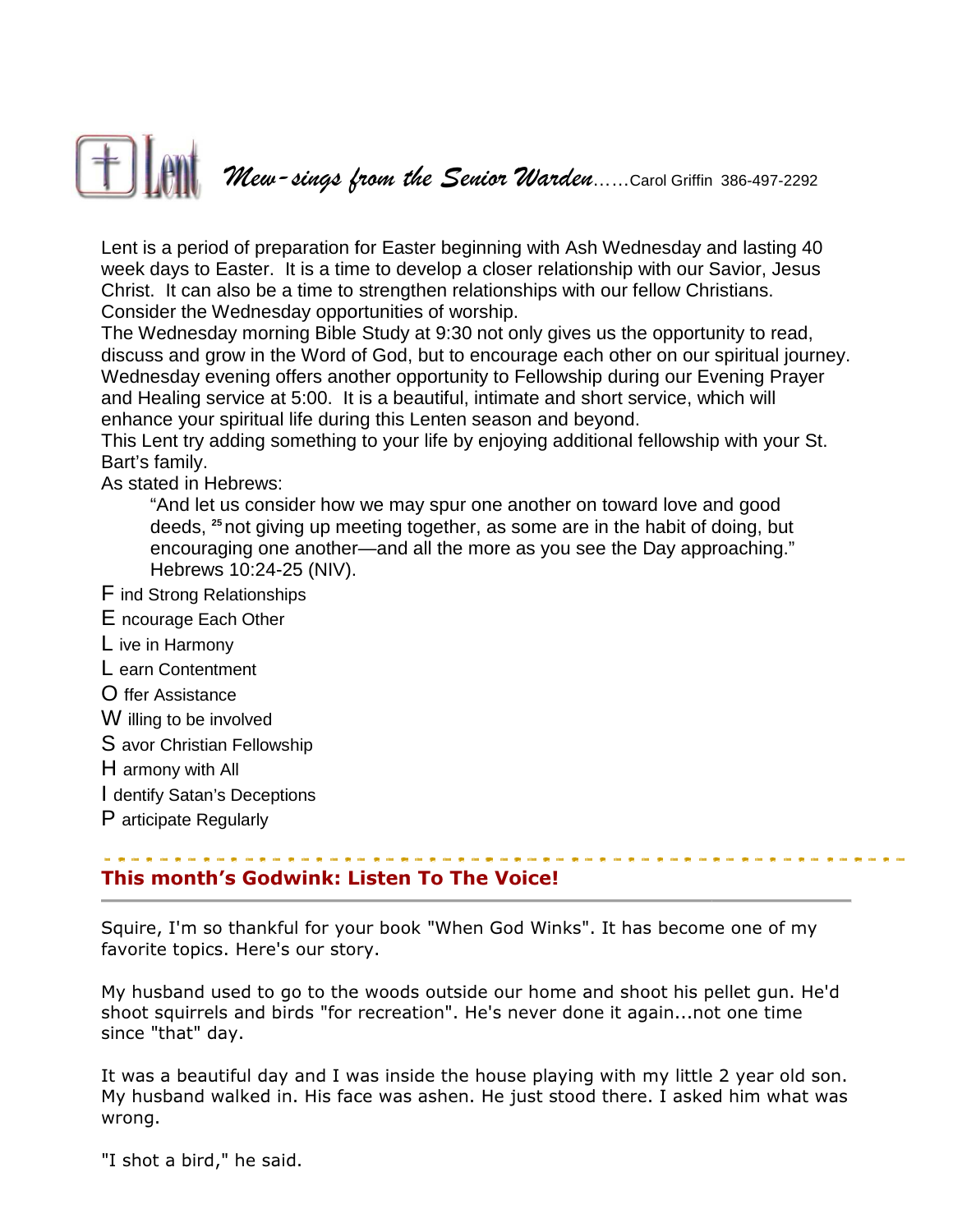

Lent is a period of preparation for Easter beginning with Ash Wednesday and lasting 40<br>week days to Easter. It is a time to develop a closer relationship with our Savior, Jesus week days to Easter. It is a time to develop a closer relationship with our Savior, Jesus Christ. It can also be a time to strengthen relationships with our fellow Christians. Consider the Wednesday opportunities of worship. Christ. It can also be a time to strengthen relationships with our fellow Christians.<br>Consider the Wednesday opportunities of worship.<br>The Wednesday morning Bible Study at 9:30 not only gives us the opportunity to read,

discuss and grow in the Word of God, but to encourage each other on our spiritual journey. Wednesday evening offers another opportunity to Fellowship during our Evening Prayer discuss and grow in the Word of God, but to encourage each other on our spiritual<br>Wednesday evening offers another opportunity to Fellowship during our Evening P<br>and Healing service at 5:00. It is a beautiful, intimate an enhance your spiritual life during this Lenten season and beyond. We - dcaga *from* the Scaccor Waradee......Carol Griffin 386-497-2292<br>
oreparation for Easter beginning with Ash Wednesday and lasting 40<br>
oreparation for Easter beginning with Ash Wednesday and lasting 40<br>
be a time to de to develop a closer relationship with our Savior, Jes<br>rengthen relationships with our fellow Christians.<br>inities of worship.<br>tudy at 9:30 not only gives us the opportunity to read<br>God, but to encourage each other on our sp

enhance your spiritual life during this Lenten season and beyond.<br>This Lent try adding something to your life by enjoying additional fellowship with your St. Bart's family.

As stated in Hebrews:

"And let us consider how we may spur one another on toward love and good deeds, <sup>25</sup> not giving up meeting together, as some are in the habit of doing, but encouraging one another—and all the more as you see the Day approaching. Hebrews 10:24-25 (NIV).

- F ind Strong Relationships
- E ncourage Each Other
- L ive in Harmony
- L earn Contentment
- O ffer Assistance
- W illing to be involved
- S avor Christian Fellowship
- H armony with All
- I dentify Satan's Deceptions
- P articipate Regularly

## This month's Godwink: Listen To The Voice! Listen To

Squire, I'm so thankful for your book "When God Winks". It has become one of my favorite topics. Here's our story.

My husband used to go to the woods outside our home and shoot his pellet gun. He'd shoot squirrels and birds "for recreation". He's never done it again...not one time since "that" day.

It was a beautiful day and I was inside the house playing with my little 2 year old son. My husband walked in. His face was ashen. He just stood there. I asked him what was wrong.

"I shot a bird," he said.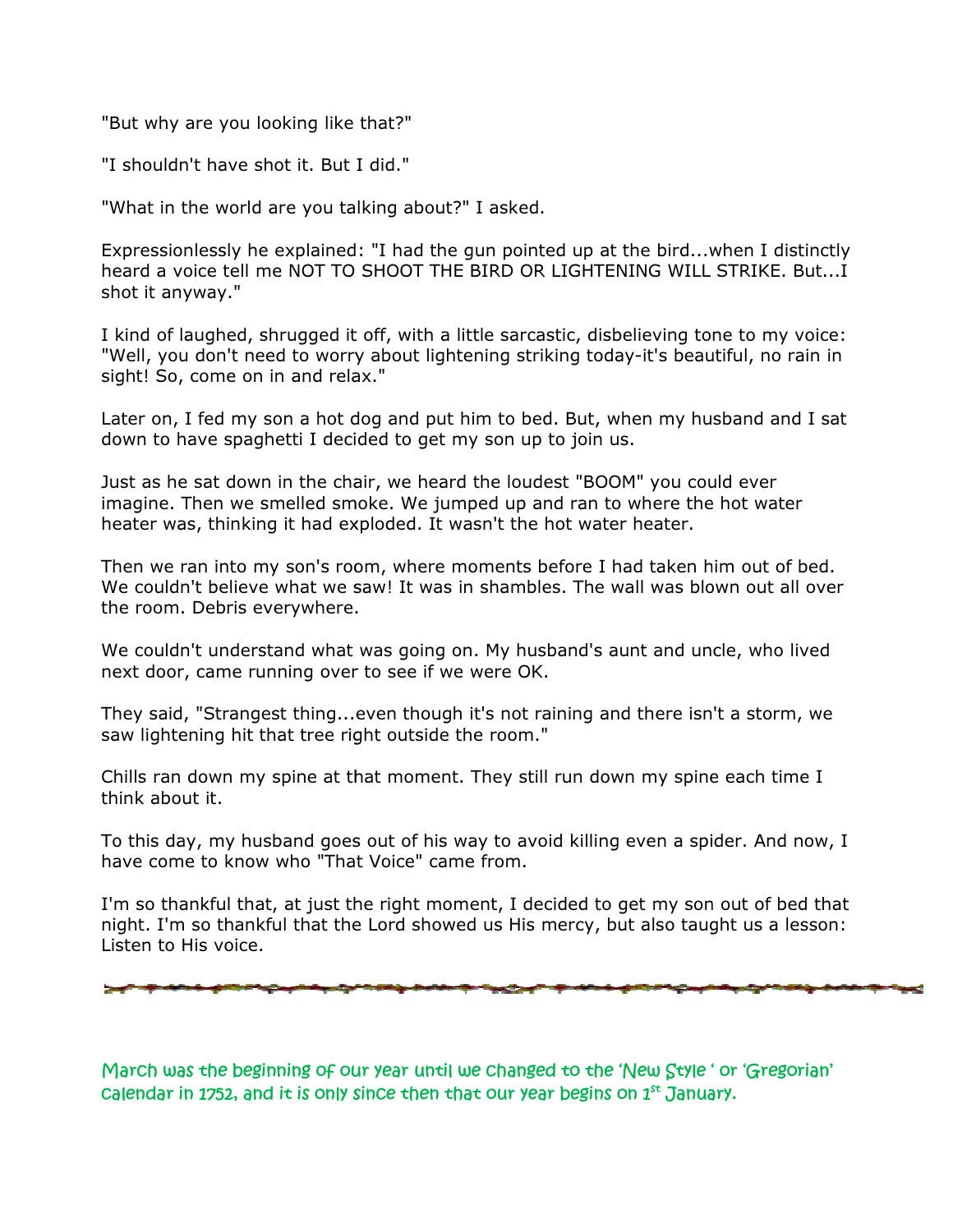"But why are you looking like that?"

"I shouldn't have shot it. But I did."

"But why are you looking like that?"<br>"I shouldn't have shot it. But I did."<br>"What in the world are you talking about?" I asked.

Expressionlessly he explained: "I had the gun pointed up at the bird...when I distinctly heard a voice tell me NOT TO SHOOT THE BIRD OR LIGHTENING WILL STRIKE. But... But...I shot it anyway." Expressionlessly he explained: "I had the gun pointed up at the bird...when I distinctly<br>heard a voice tell me NOT TO SHOOT THE BIRD OR LIGHTENING WILL STRIKE. But...I<br>shot it anyway."<br>I kind of laughed, shrugged it off, w

I kind of laughed, shrugged it off, with a little sarcastic, disbelieving tone to my voice: sight! So, come on in and relax."

Later on, I fed my son a hot dog and put him to bed. But, when my husband and I sat down to have spaghetti I decided to get my son up to join us.

Just as he sat down in the chair, we heard the loudest "BOOM" you could ever Later on, I fed my son a hot dog and put him to bed. But, when my husband and<br>down to have spaghetti I decided to get my son up to join us.<br>Just as he sat down in the chair, we heard the loudest "BOOM" you could ever<br>imagi heater was, thinking it had exploded. It wasn't the hot water heater. lay-it's beautiful, no rain in<br>when my husband and I sat<br>us.<br>OM" you could ever<br>o where the hot water<br>er heater.<br>had taken him out of bed.<br>wall was blown out all over

Then we ran into my son's room, where moments before I had taken him out of bed. We couldn't believe what we saw! It was in shambles. The wall was blown out all ove the room. Debris everywhere. heater was, thinking it had exploded. It wasn't the hot water heater.<br>Then we ran into my son's room, where moments before I had taken him out of bed.<br>We couldn't believe what we saw! It was in shambles. The wall was blown

We couldn't understand what was going on. My husband's aunt and uncle, who lived next door, came running over to see if we were OK.

They said, "Strangest thing...even though it's not raining and there isn't a storm, we saw lightening hit that tree right outside the room."

Chills ran down my spine at that moment. They still run down my spine each time I think about it.

To this day, my husband goes out of his way to avoid killing even a spider. And now, I have come to know who "That Voice" came from.

I'm so thankful that, at just the right moment, I decided to get my son out of bed that night. I'm so thankful that the Lord showed us His mercy, but also taught us a lesson: Listen to His voice. next door, came running over to see if we were OK.<br>They said, "Strangest thing...even though it's not raining and there isn't a storm, we<br>saw lightening hit that tree right outside the room."<br>Chills ran down my spine at th

March was the beginning of our year until we changed to the 'New Style ' or 'Gregorian' *calendar in 1752, and it is only since then that our year begins on 1 1752, then our begins* st *January.*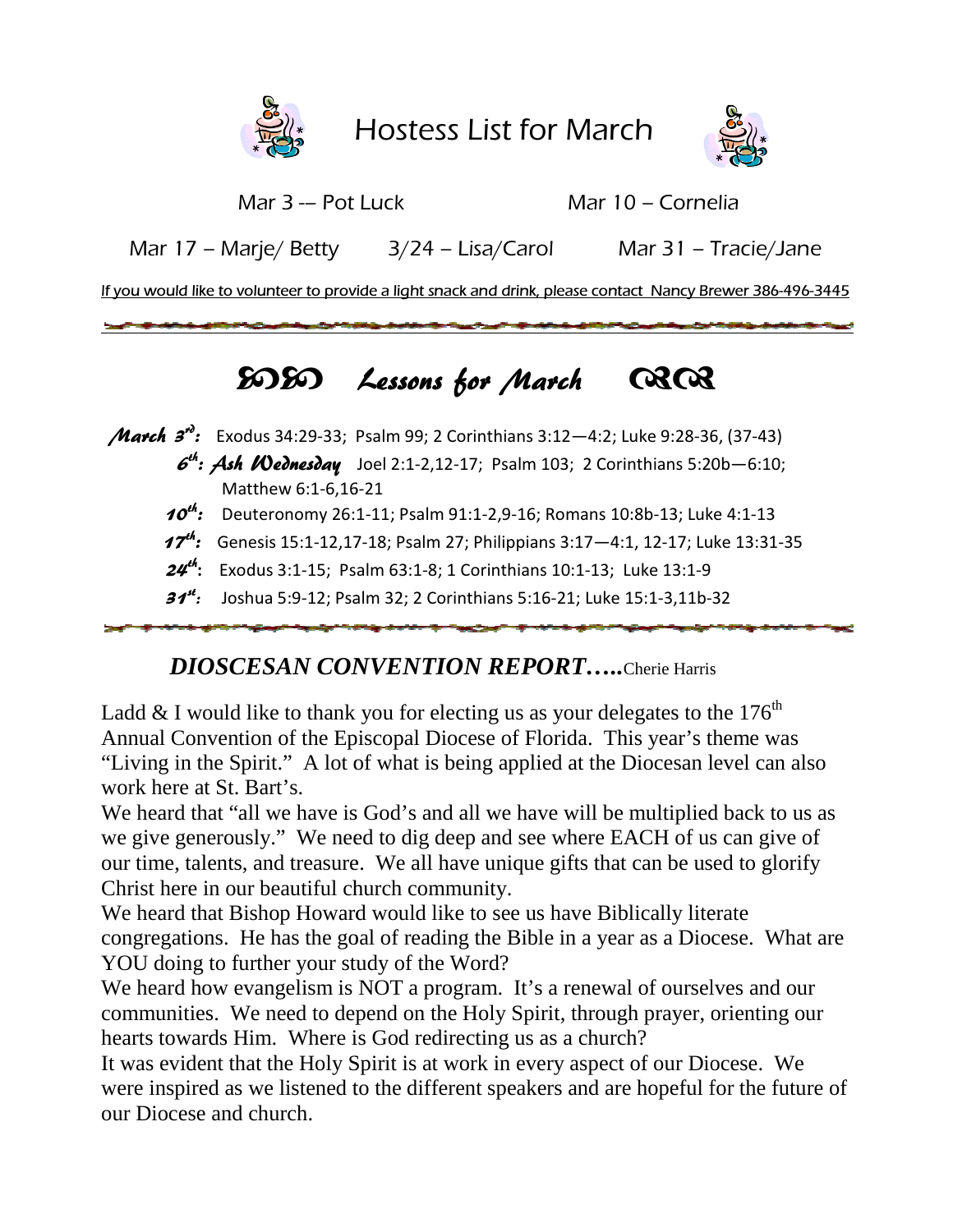



Mar 3 -- Pot Luck

Mar 10 – Cornelia

 Mar 17 – Marje/ Betty 3/24 – Lisa/Carol Mar 31 – Tracie/Jane

<u>If you would like to volunteer to provide a light snack and drink, please contact Nancy Brewer 386-496-3445</u>

## $5050$  Lessons for March Q  $C3C3$

*March 3<sup>n</sup>*: Exodus 34:29-33; Psalm 99; 2 Corinthians 3:12-4:2; Luke 9:28-36, (37-43)

- $6<sup>th</sup>$ : Ash Wednesday Joel 2:1-2,12-17; Psalm 103; 2 Corinthians 5:20b-6:10; Matthew 6:1-6,16-21
- $10^{th}$ : Deuteronomy 26:1-11; Psalm 91:1-2,9-16; Romans 10:8b-13; Luke 4:1-13
- $17<sup>th</sup>$ : Genesis 15:1-12,17-18; Psalm 27; Philippians 3:17-4:1, 12-17; Luke 13:31-35
- $24$ <sup>th</sup>: Exodus 3:1-15; Psalm 63:1-8; 1 Corinthians 10:1-13; Luke 13:1-9
	- 31<sup>st</sup>: Joshua 5:9-12; Psalm 32; 2 Corinthians 5:16-21; Luke 15:1-3,11b-32

## *DIOSCESAN CONVENTION REPORT CONVENTION REPORT…..*Cherie Harris

Ladd & I would like to thank you for electing us as your delegates to the  $176^{\text{th}}$ Annual Convention of the Episcopal Diocese of Florida. This year's theme was "Living in the Spirit." A lot of what is being applied at the Diocesan level can also work here at St. Bart's. Ladd & I would like to thank you for electing us as your delegates to the  $176^{\text{th}}$ <br>Annual Convention of the Episcopal Diocese of Florida. This year's theme was<br>"Living in the Spirit." A lot of what is being applied at

we give generously." We need to dig deep and see where EACH of us can give of our time, talents, and treasure. We all have unique gifts that can be used to glorify Christ here in our beautiful church community. tiplied back to us as<br>
H of us can give of<br>
be used to glorify<br>
Ily literate<br>
a Diocese. What are<br>
ourselves and our

We heard that Bishop Howard would like to see us have Biblically literate congregations. He has the goal of reading the Bible in a year as a Diocese. What are YOU doing to further your study of the Word?

We heard how evangelism is NOT a program. It's a renewal of ourselves and our communities. We need to depend on the Holy Spirit, through prayer, orienting our hearts towards Him. Where is God redirecting us as a church? we give generously." We need to dig deep and see where EACH of us can give of our time, talents, and treasure. We all have unique gifts that can be used to glorify Christ here in our beautiful church community.<br>We heard th

It was evident that the Holy Spirit is at work in every aspect of our Diocese. We were inspired as we listened to the different speakers and are hopeful for the future of our Diocese and church.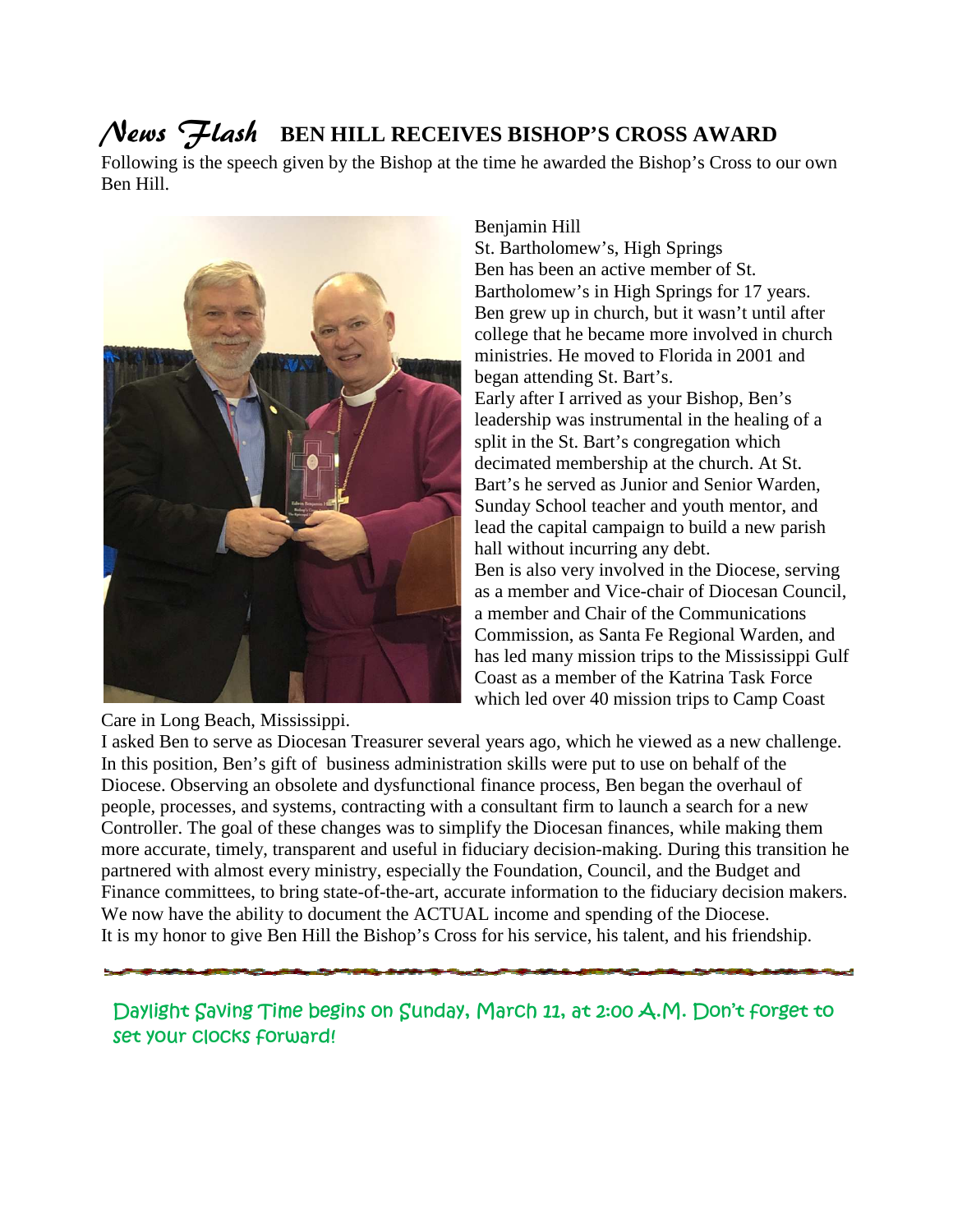# News Flash **BEN HILL RECEIVES BISHOP'S CROSS AWARD**

Following is the speech given by the Bishop at the time he awarded the Bishop's Cross to our own Ben Hill.



Care in Long Beach, Mississippi.

Benjamin Hill

St. Bartholomew's, High Springs Ben has been an active member of St. Bartholomew's in High Springs for 17 years. Ben grew up in church, but it wasn't until after college that he became more involved in church ministries. He moved to Florida in 2001 and began attending St. Bart's. Early after I arrived as your Bishop, Ben's leadership was instrumental in the healing of a split in the St. Bart's congregation which decimated membership at the church. At St. split in the St. Bart's congregation which<br>decimated membership at the church. At St.<br>Bart's he served as Junior and Senior Warden, Sunday School teacher and youth mentor, and lead the capital campaign to build a new parish hall without incurring any debt. Ben is also very involved in the Diocese, serving as a member and Vice-chair of Diocesan Council, a member and Chair of the Communications Commission, as Santa Fe Regional Warden, and has led many mission trips to the Mississippi Gulf Coast as a member of the Katrina Task Force which led over 40 mission trips to Camp Coast St. Bartholomew's, High Springs<br>Ben has been an active member of St.<br>Bartholomew's in High Springs for 17 years.<br>Ben grew up in church, but it wasn't until after<br>college that he became more involved in church<br>ministries. H Sunday School teacher and youth mentor, and<br>
lead the capital campaign to build a new parish<br>
hall without incurring any debt.<br>
Ben is also very involved in the Diocese, serving<br>
as a member and Vice-chair of Diocesan Coun

I asked Ben to serve as Diocesan Treasurer several years ago, which he viewed as a new challenge. I asked Ben to serve as Diocesan Treasurer several years ago, which he viewed as a new cha<br>In this position, Ben's gift of business administration skills were put to use on behalf of the Diocese. Observing an obsolete and dysfunctional finance process, Ben be began the overhaul of people, processes, and systems, contracting with a consultant firm to launch a search for a new Controller. The goal of these changes was to simplify the Diocesan finances, while making them more accurate, timely, transparent and useful in fiduciary decision-making. During this transition he partnered with almost every ministry, especially the Foundation, Council, and the Budget and Finance committees, to bring state-of-the-art, accurate information to the fiduciary decision makers. We now have the ability to document the ACTUAL income and spending of the Diocese. We now have the ability to document the ACTUAL income and spending of the Diocese.<br>It is my honor to give Ben Hill the Bishop's Cross for his service, his talent, and his friendship.

*Daylight Saving Time begins begins on Sunday, March 11, at 2:00 A.M. Don't forget to set your clocks forward!*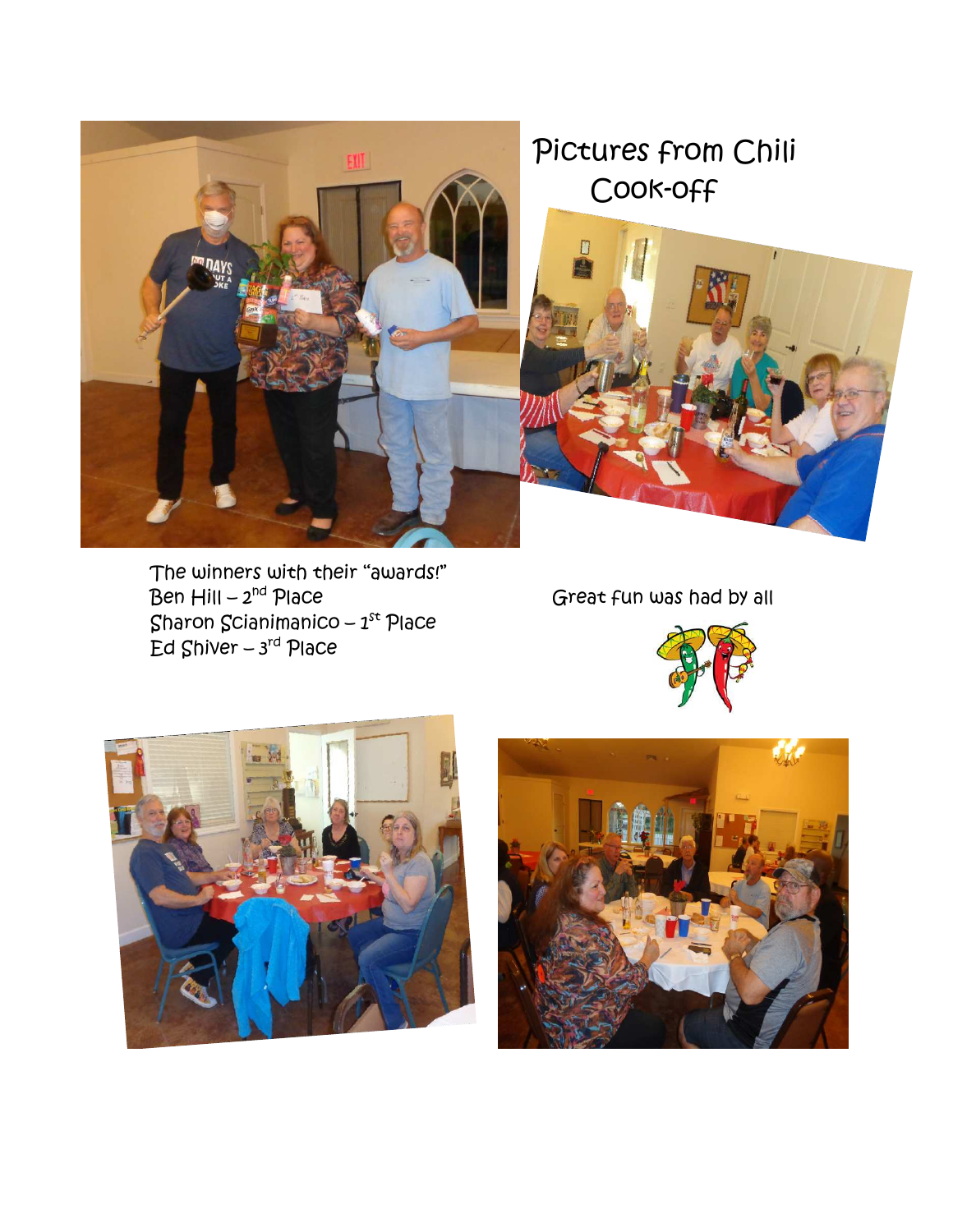

# Pictures from Chili Cook-off



The winners with their "awards!"<br>Ben Hill – 2<sup>nd</sup> Place Sharon Scianimanico – 1 $^{\rm st}$  Place Ed Shiver – 3<sup>rd</sup> Place

Great fun was had by all





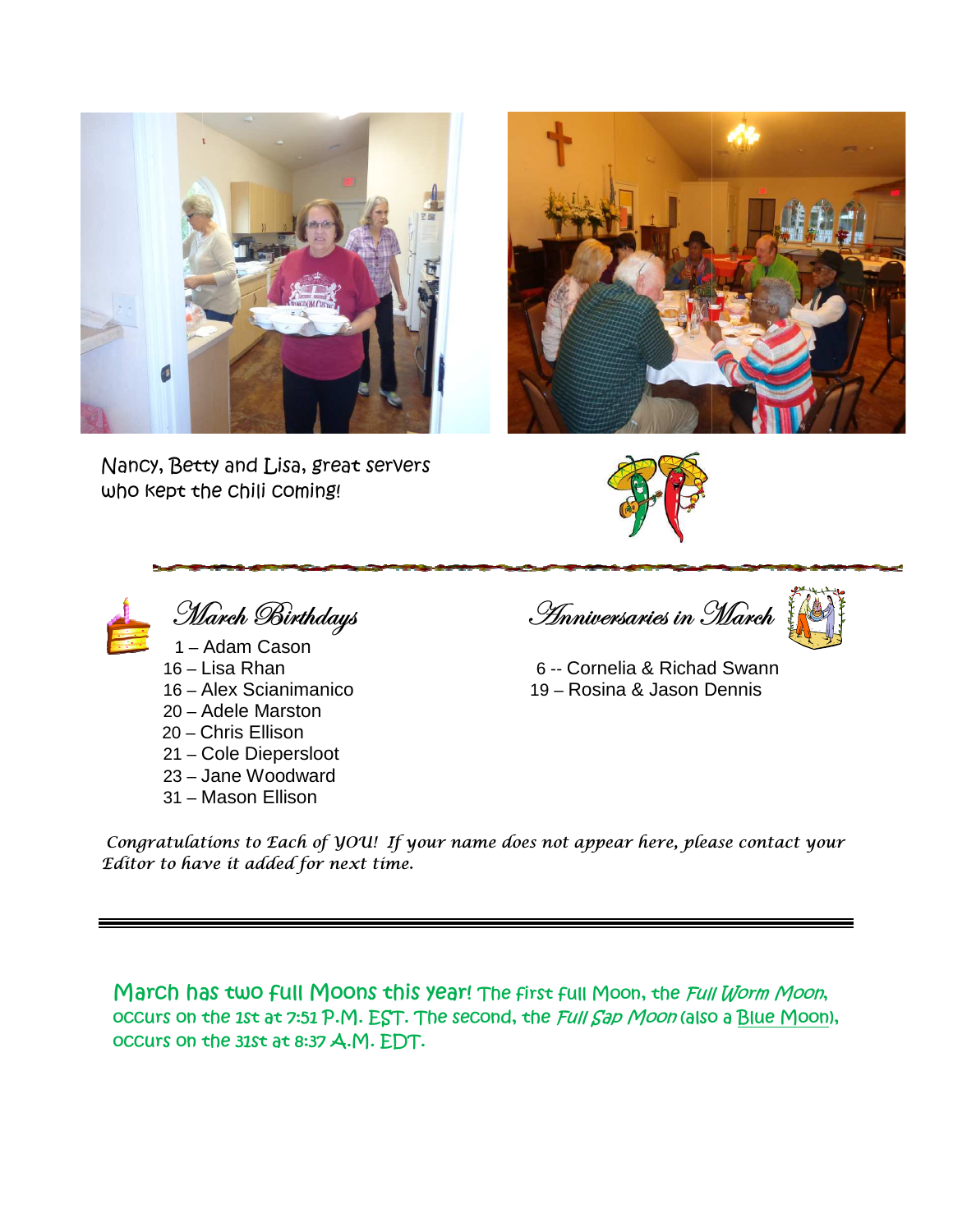

Nancy, Betty and Lisa, great servers who kept the chili coming!





March Birthdays 1 – Adam Cason 16 – Lisa Rhan 16 – Alex Scianimanico 20 – Adele Marston 20 – Chris Ellison

- 21 Cole Diepersloot
- 23 Jane Woodward
- 31 Mason Ellison

<u>Inniversaries in March</u> ,<br>V



 6 -- Cornelia & Richad S Swann 19 – Rosina & Jason Dennis Dennis

Congratulations to Each of YOU! If your name does not appear here, please contact your Editor to have it added for next time.

March has two full Moons this year! The first full Moon, the *Full Worm Moon*, occurs on the 1st at 7:51 P.M. EST. The second, the *Full Sap Moon* (also a <u>Blue Moon),</u> *occurs on the 31st at 8:37 A.M. A.M. EDT.*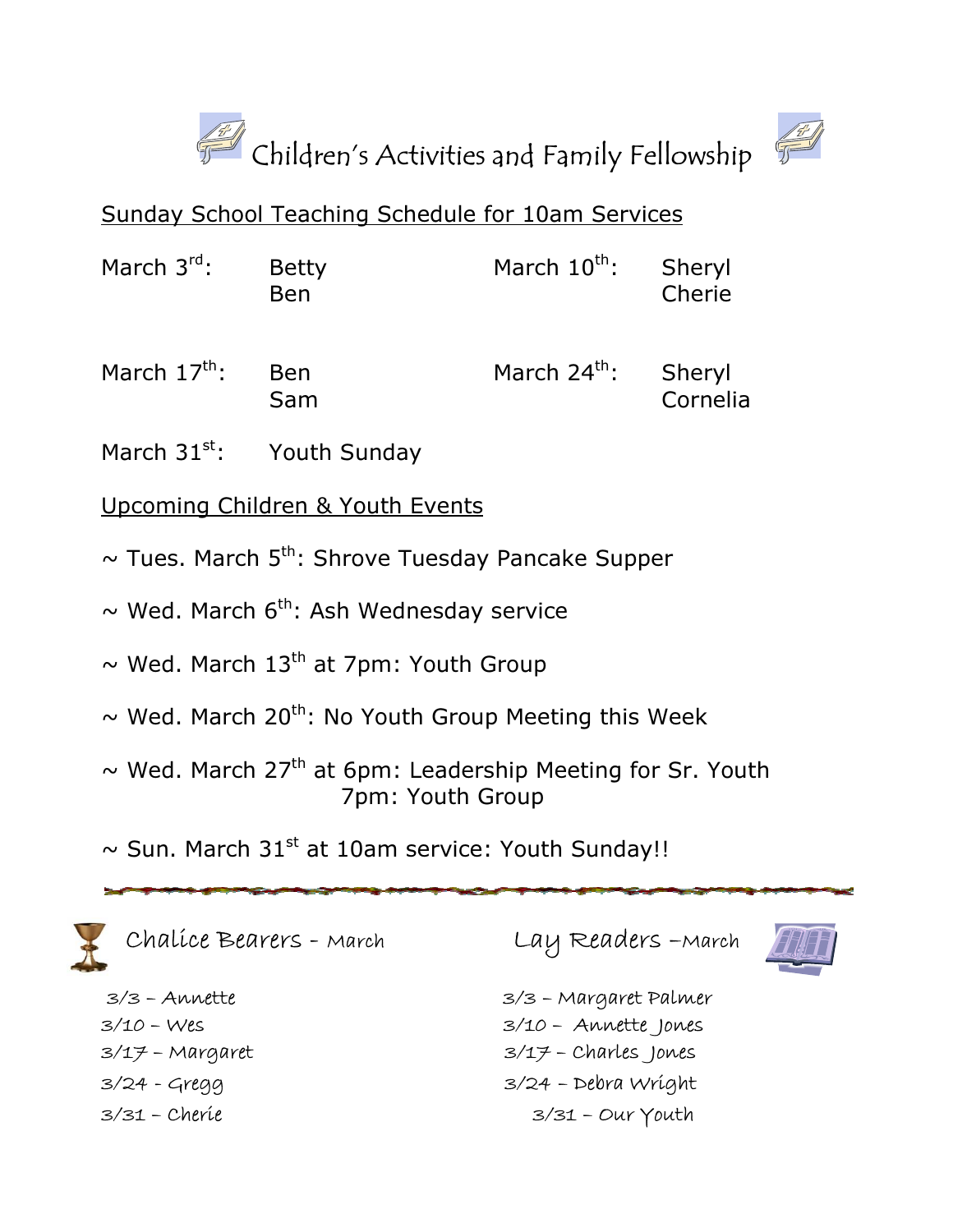



## Sunday School Teaching Schedule for 10am Services

| March $3^{\text{rd}}$ :                                                                                         | <b>Betty</b><br><b>Ben</b> | March $10^{\text{th}}$ : | Sheryl<br>Cherie   |
|-----------------------------------------------------------------------------------------------------------------|----------------------------|--------------------------|--------------------|
| March $17^{\text{th}}$ :                                                                                        | <b>Ben</b><br>Sam          | March $24^{\text{th}}$ : | Sheryl<br>Cornelia |
| the contract of the contract of the contract of the contract of the contract of the contract of the contract of |                            |                          |                    |

March  $31^{st}$ : Youth Sunday

## Upcoming Children & Youth Events

- March 31<sup>st</sup>: Youth Sunday<br>Upcoming Children & Youth Events<br>~ Tues. March 5<sup>th</sup>: Shrove Tuesday Pancake Supper
- $\sim$  Wed. March 6<sup>th</sup>: Ash Wednesday service
- ~ Wed. March 6th: Ash Wednesday service<br>~ Wed. March 13<sup>th</sup> at 7pm: Youth Group
- $\sim$  Wed. March 20<sup>th</sup>: No Youth Group Meeting this Week
- $\sim$  Wed. March 27<sup>th</sup> at 6pm: Leadership Meeting for Sr. Youth<br>7pm: Youth Group 7pm: Youth Group
- $\sim$  Sun. March 31st at 10am service: Youth Sunday!!



Chalice Bearers - March

 3/3 – Annette 3/10 – Wes 3/17 – Margaret 3/24 - Gregg 3/31 – Cherie

Lay Readers –March March



 3/3 – Margaret Palmer Margaret Palmer 3/10 – Annette Jones  $3/17$  – Charles Jones 3/24 – Debra Wright 3/31 – Our Youth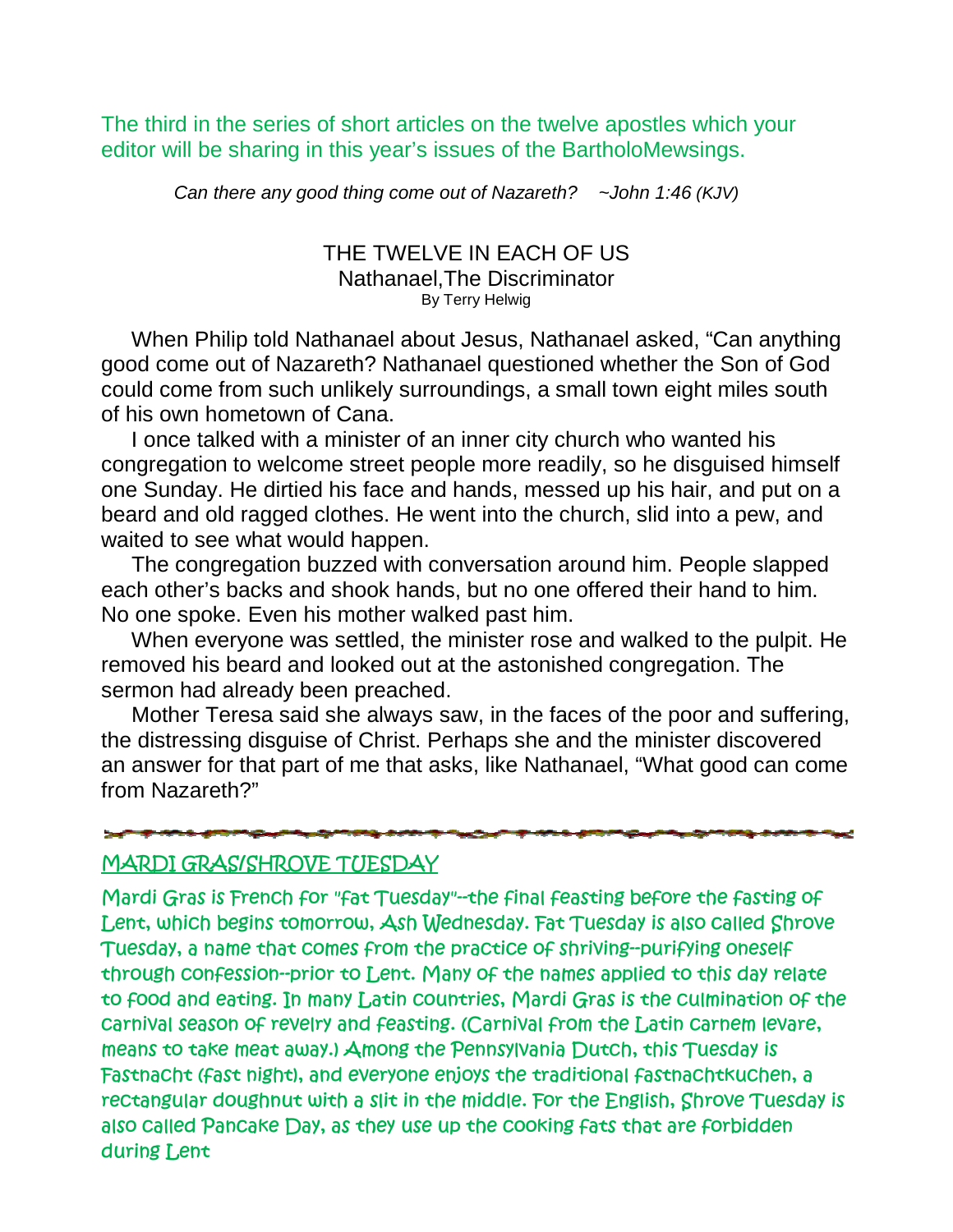The third in the series of short articles on the twelve apostles which your editor will be sharing in this year's issues of the BartholoMewsings.

Can there any good thing come out of Nazareth? ~John 1:46 (KJV)

#### THE TWELVE IN EACH OF US<br>Nathanael,The Discriminator Nathanael. The Discriminator By Terry Helwig

When Philip told Nathanael about Jesus, Nathanael asked, "Can anything good come out of Nazareth Nazareth? Nathanael questioned whether the Son of God could come from such unlik could come from such unlikely surroundings, a small town eight miles south of his own hometown of Cana.

 I once talked with a minister of an inner city church who wanted his congregation to welcome street people more readily, so he disguised himself one Sunday. He dirtied his face and hands, messed up his hair, and put on a beard and old ragged clothes. He went into the church, slid into a pew, and waited to see what would happen. his own hometown of Cana.<br>I once talked with a minister of an inner city church who wanted his ngregation to welcome street people more readily, so he disguised himse<br>e Sunday. He dirtied his face and hands, messed up his ort articles on the twelve apostles which your<br>year's issues of the BartholoMewsings.<br>
ing come out of Nazareth? ~John 1:46 (KJV)<br>
: TWELVE IN EACH OF US<br>
thanael, The Discriminator<br>
<sup>By Terry Helwig<br>
ael about Jesus, Nath</sup>

 The congregation buzzed with conversation around him. People slapped each other's backs and shook hands, but no one offered their hand to him. No one spoke. Even his mother walked past him.

 When everyone was settled, the minister rose and walked to the pulpit. He removed his beard and looked out at the astonished congregation. The sermon had already been preached. waited to see what would happen.<br>The congregation buzzed with conversation around him. People slappec<br>each other's backs and shook hands, but no one offered their hand to him.<br>No one spoke. Even his mother walked past him.

Mother Teresa said she always saw, in the faces of the poor and suffering, the distressing disguise of Christ. Perhaps she and the minister discovered an answer for that part of me that asks, like Nathanael, "What good can come from Nazareth?"

### *MARDI GRAS/SHROVE TUESDAY TUESDAY*

*Mardi Gras is French for "fat Tuesday" Tuesday"--the final feasting before the fasting of Lent, which begins tomorrow, Ash Wednesday. Fat Tuesday is also called Shrove*  Lent, which begins tomorrow, Ash Wednesday. Fat Tuesday is also called Shrove<br>Tuesday, a name that comes from the practice of shriving--purifying oneself through confession--prior to Lent. Many of the names applied to this day relate *to food and eating. In many Latin countries, Mardi Gras is the culmination of the carnival season of revelry and feasting. (Carnival from the Latin carnem levare, means to take meat away.) Among the Pennsylv* Fastnacht (fast night), and everyone enjoys the traditional fastnachtkuchen, a *rectangular doughnut with a slit in the middle. For the English, Shrove Tuesday is*  also called Pancake Day, as they use up the cooking fats that are forbidden *during Lent many countries, the feasting. (Carnival from levare, meat away.) Among Pennsylvania Dutch, this Tuesday is*  Fastnacht (fast night), and everyone enjoys the traditional fastnachtkuchen,<br>rectangular doughnut with a slit in the middle. For the English, Shrove Tuesd<br>also called Pancake Day, as they use up the cooking fats that are f uesday"--the final feasting before the<br>**4sh Wednesday. Fat Tuesday is also cay**<br>im the practice of shriving--purifying<br>nt. Many of the names applied to this<br>in countries, Mardi Gras is the culmi<br>easting. (Carnival from the